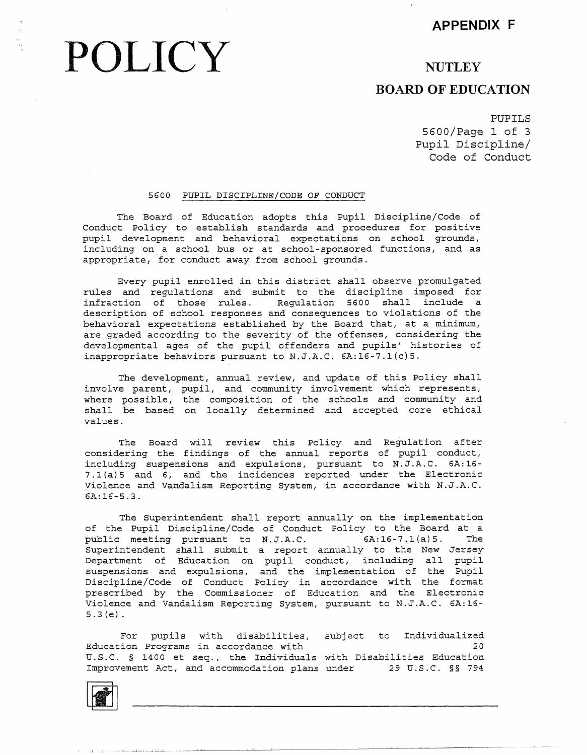## **APPENDIX F**

# **POLICY**

## **NUTLEY**

## **BOARD OF EDUCATION**

PUPILS 5600/Page 1 of 3 Pupil Discipline/ Code of Conduct

#### 5600 PUPIL DISCIPLINE/CODE OF CONDUCT

The Board of Education adopts this Pupil Discipline/Code of Conduct Policy to establish standards and procedures for positive pupil development and behavioral expectations on school grounds, including on a school bus or at school-sponsored functions, and as appropriate; for conduct away from school grounds.

Every pupil enrolled in this district shall observe promulgated rules and regulations and submit to the discipline imposed for infraction of those rules. Regulation 5600 shall include a description of school responses and consequences to violations of the behavioral expectations established by the Board that, at a minimum, are graded according to the severity of the offenses, considering the developmental ages of the .pupil offenders and pupils' histories of inappropriate behaviors pursuant to N.J.A.C. 6A:16-7.l(c)5.

The development, annual review, and update of this Policy shall involve parent, pupil, and community involvement which represents, where possible, the composition of the schools and community and shall be based on locally determined and accepted core ethical values.

The Board will review this Policy and Regulation after considering the findings of the annual reports of pupil conduct, including suspensions and expulsions, pursuant to N.J.A.C. 6A:16- 7.l(a)5 and 6, and the incidences reported under the Electronic Violence and Vandalism Reporting System, in accordance with N.J.A.C. 6A:16-5.3.

The Superintendent shall report annually on the implementation of the Pupil Discipline/Code of Conduct Policy to the Board at a public meeting pursuant to N.J.A.C. 6A:16-7.l(a)5. The Superintendent shall submit a report annually to the New Jersey Department of Education on pupil conduct, including all pupil suspensions and expulsions, and the implementation of the Pupi Discipline/Code of Conduct Policy in accordance with the forma prescribed by the Commissioner of Education and the Electron Violence and Vandalism Reporting System, pursuant to N.J.A.C. 6A:16- 5.3(e).

For pupils with disabilities, subject to Individualized Education Programs in accordance with 20 U.S.C. § 1400 et seq., the Individuals with Disabilities Education Improvement Act, and accommodation plans under 29 U.S.C. §§ 794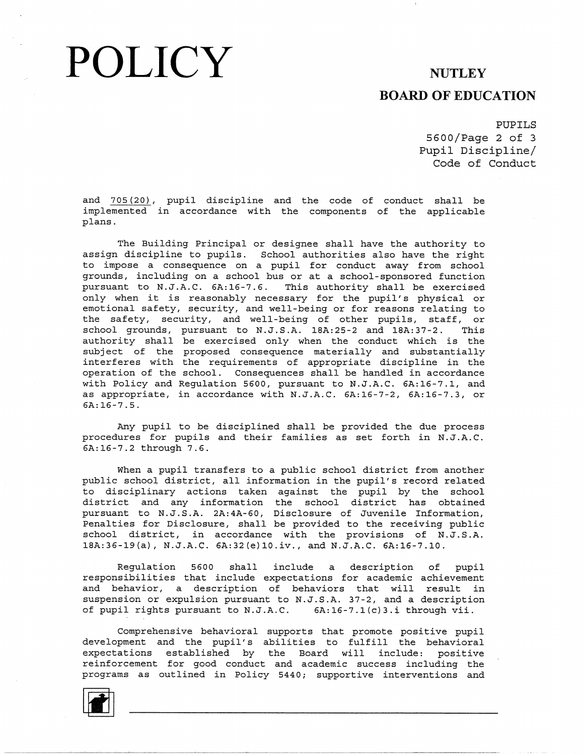# POLICY NUTLEY

### **BOARD OF EDUCATION**

PUPILS

5600/Page 2 of 3 Pupil Discipline/ Code of Conduct

and 705(20), pupil discipline and the code of conduct shall be implemented in accordance with the components of the applical plans.

The Building Principal or designee shall have the authority to assign discipline to pupils. School authorities also have the right to impose a consequence on a pupil for conduct away from school grounds, including on a school bus or at a school-sponsored function pursuant to N.J.A.C. 6A:16-7.6. This authority shall be exercised only when it is reasonably necessary for the pupil's physical or emotional safety, security, and well-being or for reasons relating to the safety, security, and well-being of other pupils, staff, or school grounds, pursuant to N.J.S.A. 18A: 25-2 and 18A: 37-2. This authority shall be exercised only when the conduct which is the subject of the proposed consequence materially and substantially interferes with the requirements of appropriate discipline in the operation of the school. Consequences shall be handled in accordance with Policy and Regulation 5600, pursuant to N.J.A.C. 6A:16-7.1, and as appropriate, in accordance with N.J.A.C. 6A:16-7-2, 6A:16-7.3, or 6A:16-7.5.

Any pupil to be disciplined shall be provided the due process procedures for pupils and their families as set forth in N.J.A.C. 6A:16-7.2 through 7.6.

When a pupil transfers to a public school district from another public school district, all information in the pupil's record related to disciplinary actions taken against the pupil by the school district and any information the school district has obtained pursuant to N.J.S.A. 2A: 4A-60, Disclosure of Juvenile Information, Penalties for Disclosure, shall be provided to the receiving public school district, in accordance with the provisions of N.J.S.A. 18A:36-19{a), N.J.A.C. 6A:32{e)l0.iv., and N.J.A.C. 6A:16-7.10.

Regulation 5600 shall include a description of pupil responsibilities that include expectations for academic achievement and behavior, a description of behaviors that will result in suspension or expulsion pursuant to N.J.S.A. 37-2, and a description of pupil rights pursuant to N.J.A.C. 6A:16-7.l{c)3.i through vii.

Comprehensive behavioral supports that promote positive pupil development and the pupil's abilities to fulfill the behavioral expectations established by the Board will include: positive reinforcement for good conduct and academic success including the programs as outlined in Policy 5440; supportive interventions and